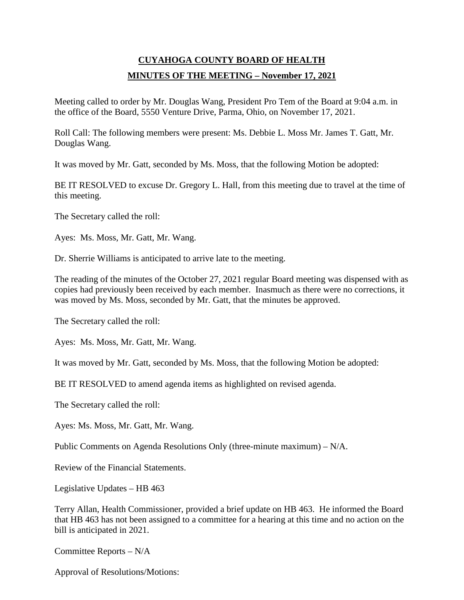# **CUYAHOGA COUNTY BOARD OF HEALTH MINUTES OF THE MEETING – November 17, 2021**

Meeting called to order by Mr. Douglas Wang, President Pro Tem of the Board at 9:04 a.m. in the office of the Board, 5550 Venture Drive, Parma, Ohio, on November 17, 2021.

Roll Call: The following members were present: Ms. Debbie L. Moss Mr. James T. Gatt, Mr. Douglas Wang.

It was moved by Mr. Gatt, seconded by Ms. Moss, that the following Motion be adopted:

BE IT RESOLVED to excuse Dr. Gregory L. Hall, from this meeting due to travel at the time of this meeting.

The Secretary called the roll:

Ayes: Ms. Moss, Mr. Gatt, Mr. Wang.

Dr. Sherrie Williams is anticipated to arrive late to the meeting.

The reading of the minutes of the October 27, 2021 regular Board meeting was dispensed with as copies had previously been received by each member. Inasmuch as there were no corrections, it was moved by Ms. Moss, seconded by Mr. Gatt, that the minutes be approved.

The Secretary called the roll:

Ayes: Ms. Moss, Mr. Gatt, Mr. Wang.

It was moved by Mr. Gatt, seconded by Ms. Moss, that the following Motion be adopted:

BE IT RESOLVED to amend agenda items as highlighted on revised agenda.

The Secretary called the roll:

Ayes: Ms. Moss, Mr. Gatt, Mr. Wang.

Public Comments on Agenda Resolutions Only (three-minute maximum) – N/A.

Review of the Financial Statements.

Legislative Updates – HB 463

Terry Allan, Health Commissioner, provided a brief update on HB 463. He informed the Board that HB 463 has not been assigned to a committee for a hearing at this time and no action on the bill is anticipated in 2021.

Committee Reports – N/A

Approval of Resolutions/Motions: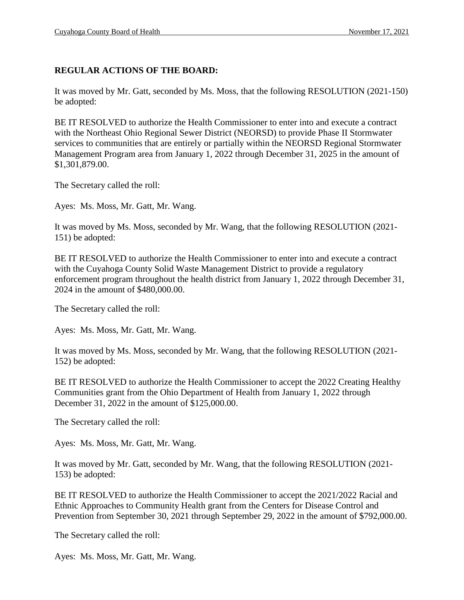# **REGULAR ACTIONS OF THE BOARD:**

It was moved by Mr. Gatt, seconded by Ms. Moss, that the following RESOLUTION (2021-150) be adopted:

BE IT RESOLVED to authorize the Health Commissioner to enter into and execute a contract with the Northeast Ohio Regional Sewer District (NEORSD) to provide Phase II Stormwater services to communities that are entirely or partially within the NEORSD Regional Stormwater Management Program area from January 1, 2022 through December 31, 2025 in the amount of \$1,301,879.00.

The Secretary called the roll:

Ayes: Ms. Moss, Mr. Gatt, Mr. Wang.

It was moved by Ms. Moss, seconded by Mr. Wang, that the following RESOLUTION (2021- 151) be adopted:

BE IT RESOLVED to authorize the Health Commissioner to enter into and execute a contract with the Cuyahoga County Solid Waste Management District to provide a regulatory enforcement program throughout the health district from January 1, 2022 through December 31, 2024 in the amount of \$480,000.00.

The Secretary called the roll:

Ayes: Ms. Moss, Mr. Gatt, Mr. Wang.

It was moved by Ms. Moss, seconded by Mr. Wang, that the following RESOLUTION (2021- 152) be adopted:

BE IT RESOLVED to authorize the Health Commissioner to accept the 2022 Creating Healthy Communities grant from the Ohio Department of Health from January 1, 2022 through December 31, 2022 in the amount of \$125,000.00.

The Secretary called the roll:

Ayes: Ms. Moss, Mr. Gatt, Mr. Wang.

It was moved by Mr. Gatt, seconded by Mr. Wang, that the following RESOLUTION (2021- 153) be adopted:

BE IT RESOLVED to authorize the Health Commissioner to accept the 2021/2022 Racial and Ethnic Approaches to Community Health grant from the Centers for Disease Control and Prevention from September 30, 2021 through September 29, 2022 in the amount of \$792,000.00.

The Secretary called the roll:

Ayes: Ms. Moss, Mr. Gatt, Mr. Wang.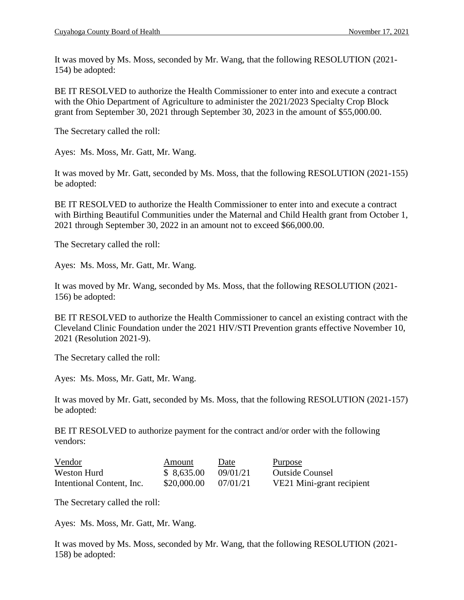It was moved by Ms. Moss, seconded by Mr. Wang, that the following RESOLUTION (2021- 154) be adopted:

BE IT RESOLVED to authorize the Health Commissioner to enter into and execute a contract with the Ohio Department of Agriculture to administer the 2021/2023 Specialty Crop Block grant from September 30, 2021 through September 30, 2023 in the amount of \$55,000.00.

The Secretary called the roll:

Ayes: Ms. Moss, Mr. Gatt, Mr. Wang.

It was moved by Mr. Gatt, seconded by Ms. Moss, that the following RESOLUTION (2021-155) be adopted:

BE IT RESOLVED to authorize the Health Commissioner to enter into and execute a contract with Birthing Beautiful Communities under the Maternal and Child Health grant from October 1, 2021 through September 30, 2022 in an amount not to exceed \$66,000.00.

The Secretary called the roll:

Ayes: Ms. Moss, Mr. Gatt, Mr. Wang.

It was moved by Mr. Wang, seconded by Ms. Moss, that the following RESOLUTION (2021- 156) be adopted:

BE IT RESOLVED to authorize the Health Commissioner to cancel an existing contract with the Cleveland Clinic Foundation under the 2021 HIV/STI Prevention grants effective November 10, 2021 (Resolution 2021-9).

The Secretary called the roll:

Ayes: Ms. Moss, Mr. Gatt, Mr. Wang.

It was moved by Mr. Gatt, seconded by Ms. Moss, that the following RESOLUTION (2021-157) be adopted:

BE IT RESOLVED to authorize payment for the contract and/or order with the following vendors:

| Vendor                    | Amount      | Date     | Purpose                   |
|---------------------------|-------------|----------|---------------------------|
| Weston Hurd               | \$8,635.00  | 09/01/21 | <b>Outside Counsel</b>    |
| Intentional Content, Inc. | \$20,000.00 | 07/01/21 | VE21 Mini-grant recipient |

The Secretary called the roll:

Ayes: Ms. Moss, Mr. Gatt, Mr. Wang.

It was moved by Ms. Moss, seconded by Mr. Wang, that the following RESOLUTION (2021- 158) be adopted: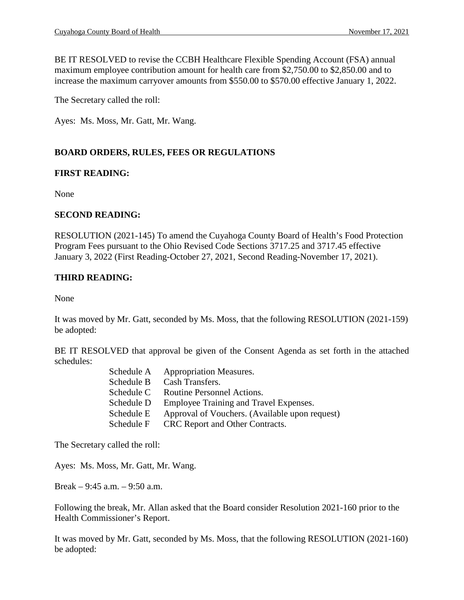BE IT RESOLVED to revise the CCBH Healthcare Flexible Spending Account (FSA) annual maximum employee contribution amount for health care from \$2,750.00 to \$2,850.00 and to increase the maximum carryover amounts from \$550.00 to \$570.00 effective January 1, 2022.

The Secretary called the roll:

Ayes: Ms. Moss, Mr. Gatt, Mr. Wang.

# **BOARD ORDERS, RULES, FEES OR REGULATIONS**

### **FIRST READING:**

None

### **SECOND READING:**

RESOLUTION (2021-145) To amend the Cuyahoga County Board of Health's Food Protection Program Fees pursuant to the Ohio Revised Code Sections 3717.25 and 3717.45 effective January 3, 2022 (First Reading-October 27, 2021, Second Reading-November 17, 2021).

# **THIRD READING:**

None

It was moved by Mr. Gatt, seconded by Ms. Moss, that the following RESOLUTION (2021-159) be adopted:

BE IT RESOLVED that approval be given of the Consent Agenda as set forth in the attached schedules:

| Schedule A | <b>Appropriation Measures.</b>                 |
|------------|------------------------------------------------|
| Schedule B | Cash Transfers.                                |
| Schedule C | Routine Personnel Actions.                     |
| Schedule D | Employee Training and Travel Expenses.         |
| Schedule E | Approval of Vouchers. (Available upon request) |
| Schedule F | CRC Report and Other Contracts.                |
|            |                                                |

The Secretary called the roll:

Ayes: Ms. Moss, Mr. Gatt, Mr. Wang.

Break – 9:45 a.m. – 9:50 a.m.

Following the break, Mr. Allan asked that the Board consider Resolution 2021-160 prior to the Health Commissioner's Report.

It was moved by Mr. Gatt, seconded by Ms. Moss, that the following RESOLUTION (2021-160) be adopted: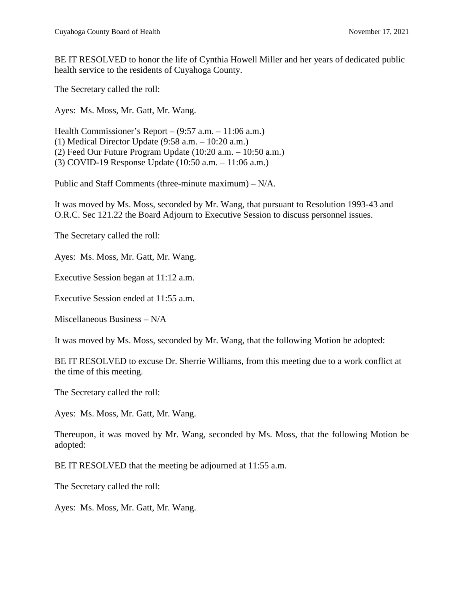BE IT RESOLVED to honor the life of Cynthia Howell Miller and her years of dedicated public health service to the residents of Cuyahoga County.

The Secretary called the roll:

Ayes: Ms. Moss, Mr. Gatt, Mr. Wang.

Health Commissioner's Report – (9:57 a.m. – 11:06 a.m.) (1) Medical Director Update (9:58 a.m. – 10:20 a.m.) (2) Feed Our Future Program Update (10:20 a.m. – 10:50 a.m.) (3) COVID-19 Response Update (10:50 a.m. – 11:06 a.m.)

Public and Staff Comments (three-minute maximum) – N/A.

It was moved by Ms. Moss, seconded by Mr. Wang, that pursuant to Resolution 1993-43 and O.R.C. Sec 121.22 the Board Adjourn to Executive Session to discuss personnel issues.

The Secretary called the roll:

Ayes: Ms. Moss, Mr. Gatt, Mr. Wang.

Executive Session began at 11:12 a.m.

Executive Session ended at 11:55 a.m.

Miscellaneous Business – N/A

It was moved by Ms. Moss, seconded by Mr. Wang, that the following Motion be adopted:

BE IT RESOLVED to excuse Dr. Sherrie Williams, from this meeting due to a work conflict at the time of this meeting.

The Secretary called the roll:

Ayes: Ms. Moss, Mr. Gatt, Mr. Wang.

Thereupon, it was moved by Mr. Wang, seconded by Ms. Moss, that the following Motion be adopted:

BE IT RESOLVED that the meeting be adjourned at 11:55 a.m.

The Secretary called the roll:

Ayes: Ms. Moss, Mr. Gatt, Mr. Wang.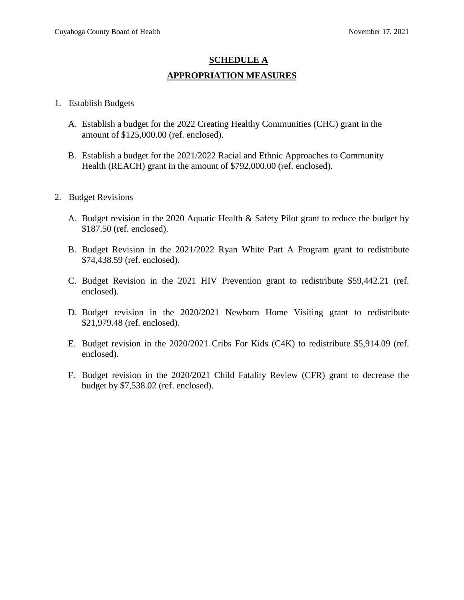# **SCHEDULE A APPROPRIATION MEASURES**

- 1. Establish Budgets
	- A. Establish a budget for the 2022 Creating Healthy Communities (CHC) grant in the amount of \$125,000.00 (ref. enclosed).
	- B. Establish a budget for the 2021/2022 Racial and Ethnic Approaches to Community Health (REACH) grant in the amount of \$792,000.00 (ref. enclosed).
- 2. Budget Revisions
	- A. Budget revision in the 2020 Aquatic Health & Safety Pilot grant to reduce the budget by \$187.50 (ref. enclosed).
	- B. Budget Revision in the 2021/2022 Ryan White Part A Program grant to redistribute \$74,438.59 (ref. enclosed).
	- C. Budget Revision in the 2021 HIV Prevention grant to redistribute \$59,442.21 (ref. enclosed).
	- D. Budget revision in the 2020/2021 Newborn Home Visiting grant to redistribute \$21,979.48 (ref. enclosed).
	- E. Budget revision in the 2020/2021 Cribs For Kids (C4K) to redistribute \$5,914.09 (ref. enclosed).
	- F. Budget revision in the 2020/2021 Child Fatality Review (CFR) grant to decrease the budget by \$7,538.02 (ref. enclosed).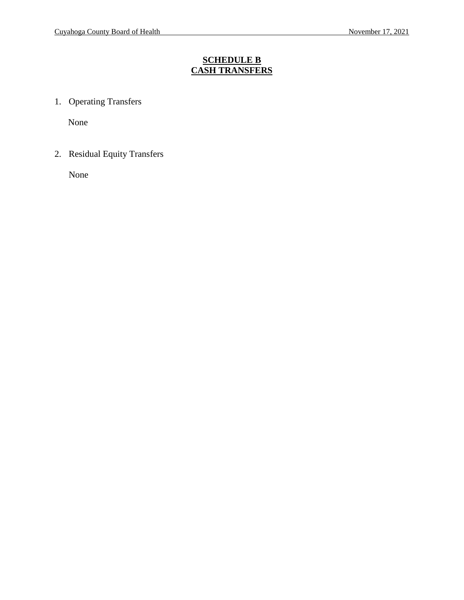# **SCHEDULE B CASH TRANSFERS**

1. Operating Transfers

None

2. Residual Equity Transfers

None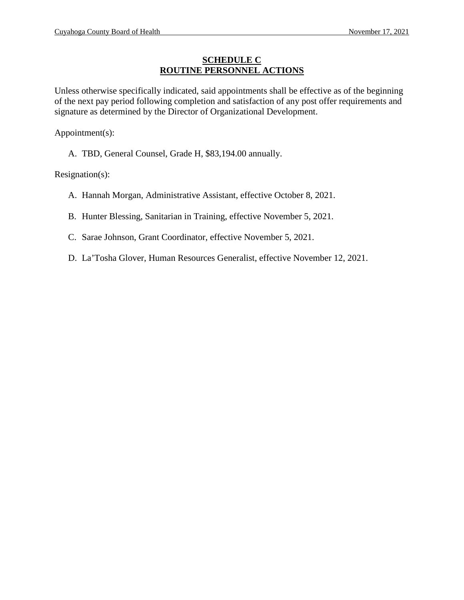### **SCHEDULE C ROUTINE PERSONNEL ACTIONS**

Unless otherwise specifically indicated, said appointments shall be effective as of the beginning of the next pay period following completion and satisfaction of any post offer requirements and signature as determined by the Director of Organizational Development.

Appointment(s):

A. TBD, General Counsel, Grade H, \$83,194.00 annually.

Resignation(s):

- A. Hannah Morgan, Administrative Assistant, effective October 8, 2021.
- B. Hunter Blessing, Sanitarian in Training, effective November 5, 2021.
- C. Sarae Johnson, Grant Coordinator, effective November 5, 2021.
- D. La'Tosha Glover, Human Resources Generalist, effective November 12, 2021.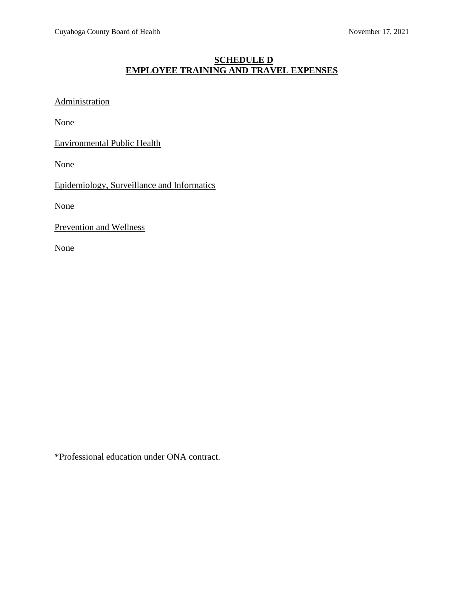# **SCHEDULE D EMPLOYEE TRAINING AND TRAVEL EXPENSES**

**Administration** 

None

Environmental Public Health

None

Epidemiology, Surveillance and Informatics

None

Prevention and Wellness

None

\*Professional education under ONA contract.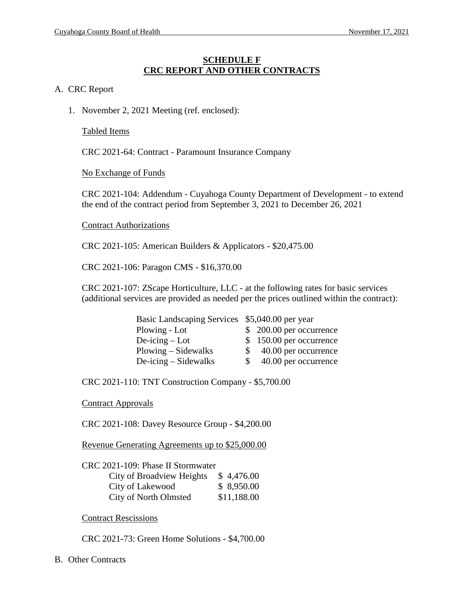#### **SCHEDULE F CRC REPORT AND OTHER CONTRACTS**

#### A. CRC Report

1. November 2, 2021 Meeting (ref. enclosed):

#### Tabled Items

CRC 2021-64: Contract - Paramount Insurance Company

No Exchange of Funds

CRC 2021-104: Addendum - Cuyahoga County Department of Development - to extend the end of the contract period from September 3, 2021 to December 26, 2021

#### Contract Authorizations

CRC 2021-105: American Builders & Applicators - \$20,475.00

CRC 2021-106: Paragon CMS - \$16,370.00

CRC 2021-107: ZScape Horticulture, LLC - at the following rates for basic services (additional services are provided as needed per the prices outlined within the contract):

| Basic Landscaping Services \$5,040.00 per year |                            |  |
|------------------------------------------------|----------------------------|--|
| Plowing - Lot                                  | $$200.00$ per occurrence   |  |
| $De-icing - Lot$                               | \$150.00 per occurrence    |  |
| Plowing – Sidewalks                            | 40.00 per occurrence<br>S. |  |
| $De-icing-Sidewalks$                           | 40.00 per occurrence<br>S. |  |

CRC 2021-110: TNT Construction Company - \$5,700.00

Contract Approvals

CRC 2021-108: Davey Resource Group - \$4,200.00

Revenue Generating Agreements up to \$25,000.00

| CRC 2021-109: Phase II Stormwater |             |
|-----------------------------------|-------------|
| City of Broadview Heights         | \$4,476.00  |
| City of Lakewood                  | \$8,950.00  |
| <b>City of North Olmsted</b>      | \$11,188.00 |

Contract Rescissions

CRC 2021-73: Green Home Solutions - \$4,700.00

B. Other Contracts